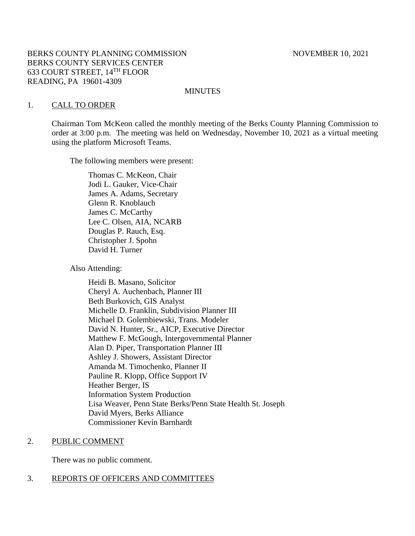## BERKS COUNTY PLANNING COMMISSION NOVEMBER 10, 2021 BERKS COUNTY SERVICES CENTER 633 COURT STREET, 14TH FLOOR READING, PA 19601-4309

#### MINUTES

#### 1. CALL TO ORDER

Chairman Tom McKeon called the monthly meeting of the Berks County Planning Commission to order at 3:00 p.m. The meeting was held on Wednesday, November 10, 2021 as a virtual meeting using the platform Microsoft Teams.

The following members were present:

Thomas C. McKeon, Chair Jodi L. Gauker, Vice-Chair James A. Adams, Secretary Glenn R. Knoblauch James C. McCarthy Lee C. Olsen, AIA, NCARB Douglas P. Rauch, Esq. Christopher J. Spohn David H. Turner

Also Attending:

Heidi B. Masano, Solicitor Cheryl A. Auchenbach, Planner III Beth Burkovich, GIS Analyst Michelle D. Franklin, Subdivision Planner III Michael D. Golembiewski, Trans. Modeler David N. Hunter, Sr., AICP, Executive Director Matthew F. McGough, Intergovernmental Planner Alan D. Piper, Transportation Planner III Ashley J. Showers, Assistant Director Amanda M. Timochenko, Planner II Pauline R. Klopp, Office Support IV Heather Berger, IS Information System Production Lisa Weaver, Penn State Berks/Penn State Health St. Joseph David Myers, Berks Alliance Commissioner Kevin Barnhardt

#### 2. PUBLIC COMMENT

There was no public comment.

# 3. REPORTS OF OFFICERS AND COMMITTEES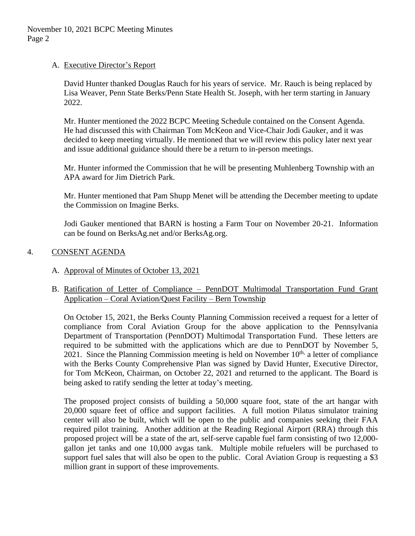# A. Executive Director's Report

David Hunter thanked Douglas Rauch for his years of service. Mr. Rauch is being replaced by Lisa Weaver, Penn State Berks/Penn State Health St. Joseph, with her term starting in January 2022.

Mr. Hunter mentioned the 2022 BCPC Meeting Schedule contained on the Consent Agenda. He had discussed this with Chairman Tom McKeon and Vice-Chair Jodi Gauker, and it was decided to keep meeting virtually. He mentioned that we will review this policy later next year and issue additional guidance should there be a return to in-person meetings.

Mr. Hunter informed the Commission that he will be presenting Muhlenberg Township with an APA award for Jim Dietrich Park.

Mr. Hunter mentioned that Pam Shupp Menet will be attending the December meeting to update the Commission on Imagine Berks.

Jodi Gauker mentioned that BARN is hosting a Farm Tour on November 20-21. Information can be found on BerksAg.net and/or BerksAg.org.

# 4. CONSENT AGENDA

# A. Approval of Minutes of October 13, 2021

# B. Ratification of Letter of Compliance – PennDOT Multimodal Transportation Fund Grant Application – Coral Aviation/Quest Facility – Bern Township

On October 15, 2021, the Berks County Planning Commission received a request for a letter of compliance from Coral Aviation Group for the above application to the Pennsylvania Department of Transportation (PennDOT) Multimodal Transportation Fund. These letters are required to be submitted with the applications which are due to PennDOT by November 5, 2021. Since the Planning Commission meeting is held on November  $10<sup>th</sup>$ , a letter of compliance with the Berks County Comprehensive Plan was signed by David Hunter, Executive Director, for Tom McKeon, Chairman, on October 22, 2021 and returned to the applicant. The Board is being asked to ratify sending the letter at today's meeting.

The proposed project consists of building a 50,000 square foot, state of the art hangar with 20,000 square feet of office and support facilities. A full motion Pilatus simulator training center will also be built, which will be open to the public and companies seeking their FAA required pilot training. Another addition at the Reading Regional Airport (RRA) through this proposed project will be a state of the art, self-serve capable fuel farm consisting of two 12,000 gallon jet tanks and one 10,000 avgas tank. Multiple mobile refuelers will be purchased to support fuel sales that will also be open to the public. Coral Aviation Group is requesting a \$3 million grant in support of these improvements.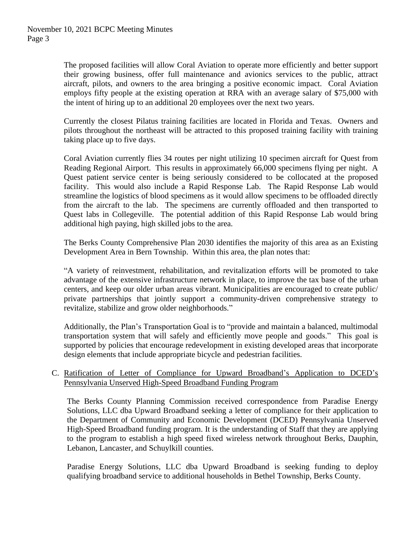The proposed facilities will allow Coral Aviation to operate more efficiently and better support their growing business, offer full maintenance and avionics services to the public, attract aircraft, pilots, and owners to the area bringing a positive economic impact. Coral Aviation employs fifty people at the existing operation at RRA with an average salary of \$75,000 with the intent of hiring up to an additional 20 employees over the next two years.

Currently the closest Pilatus training facilities are located in Florida and Texas. Owners and pilots throughout the northeast will be attracted to this proposed training facility with training taking place up to five days.

Coral Aviation currently flies 34 routes per night utilizing 10 specimen aircraft for Quest from Reading Regional Airport. This results in approximately 66,000 specimens flying per night. A Quest patient service center is being seriously considered to be collocated at the proposed facility. This would also include a Rapid Response Lab. The Rapid Response Lab would streamline the logistics of blood specimens as it would allow specimens to be offloaded directly from the aircraft to the lab. The specimens are currently offloaded and then transported to Quest labs in Collegeville. The potential addition of this Rapid Response Lab would bring additional high paying, high skilled jobs to the area.

The Berks County Comprehensive Plan 2030 identifies the majority of this area as an Existing Development Area in Bern Township. Within this area, the plan notes that:

"A variety of reinvestment, rehabilitation, and revitalization efforts will be promoted to take advantage of the extensive infrastructure network in place, to improve the tax base of the urban centers, and keep our older urban areas vibrant. Municipalities are encouraged to create public/ private partnerships that jointly support a community-driven comprehensive strategy to revitalize, stabilize and grow older neighborhoods."

Additionally, the Plan's Transportation Goal is to "provide and maintain a balanced, multimodal transportation system that will safely and efficiently move people and goods." This goal is supported by policies that encourage redevelopment in existing developed areas that incorporate design elements that include appropriate bicycle and pedestrian facilities.

## C. Ratification of Letter of Compliance for Upward Broadband's Application to DCED's Pennsylvania Unserved High-Speed Broadband Funding Program

The Berks County Planning Commission received correspondence from Paradise Energy Solutions, LLC dba Upward Broadband seeking a letter of compliance for their application to the Department of Community and Economic Development (DCED) Pennsylvania Unserved High-Speed Broadband funding program. It is the understanding of Staff that they are applying to the program to establish a high speed fixed wireless network throughout Berks, Dauphin, Lebanon, Lancaster, and Schuylkill counties.

Paradise Energy Solutions, LLC dba Upward Broadband is seeking funding to deploy qualifying broadband service to additional households in Bethel Township, Berks County.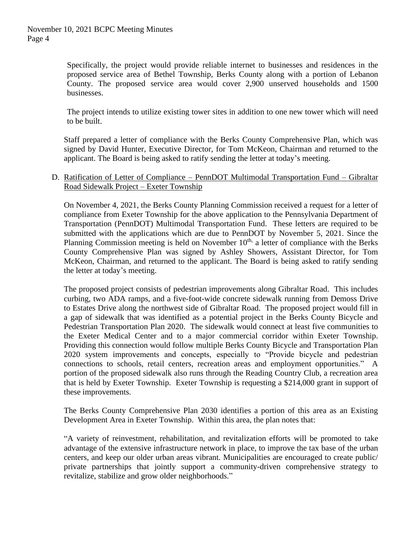Specifically, the project would provide reliable internet to businesses and residences in the proposed service area of Bethel Township, Berks County along with a portion of Lebanon County. The proposed service area would cover 2,900 unserved households and 1500 businesses.

The project intends to utilize existing tower sites in addition to one new tower which will need to be built.

Staff prepared a letter of compliance with the Berks County Comprehensive Plan, which was signed by David Hunter, Executive Director, for Tom McKeon, Chairman and returned to the applicant. The Board is being asked to ratify sending the letter at today's meeting.

## D. Ratification of Letter of Compliance – PennDOT Multimodal Transportation Fund – Gibraltar Road Sidewalk Project – Exeter Township

On November 4, 2021, the Berks County Planning Commission received a request for a letter of compliance from Exeter Township for the above application to the Pennsylvania Department of Transportation (PennDOT) Multimodal Transportation Fund. These letters are required to be submitted with the applications which are due to PennDOT by November 5, 2021. Since the Planning Commission meeting is held on November  $10<sup>th</sup>$ , a letter of compliance with the Berks County Comprehensive Plan was signed by Ashley Showers, Assistant Director, for Tom McKeon, Chairman, and returned to the applicant. The Board is being asked to ratify sending the letter at today's meeting.

The proposed project consists of pedestrian improvements along Gibraltar Road. This includes curbing, two ADA ramps, and a five-foot-wide concrete sidewalk running from Demoss Drive to Estates Drive along the northwest side of Gibraltar Road. The proposed project would fill in a gap of sidewalk that was identified as a potential project in the Berks County Bicycle and Pedestrian Transportation Plan 2020. The sidewalk would connect at least five communities to the Exeter Medical Center and to a major commercial corridor within Exeter Township. Providing this connection would follow multiple Berks County Bicycle and Transportation Plan 2020 system improvements and concepts, especially to "Provide bicycle and pedestrian connections to schools, retail centers, recreation areas and employment opportunities." A portion of the proposed sidewalk also runs through the Reading Country Club, a recreation area that is held by Exeter Township. Exeter Township is requesting a \$214,000 grant in support of these improvements.

The Berks County Comprehensive Plan 2030 identifies a portion of this area as an Existing Development Area in Exeter Township. Within this area, the plan notes that:

"A variety of reinvestment, rehabilitation, and revitalization efforts will be promoted to take advantage of the extensive infrastructure network in place, to improve the tax base of the urban centers, and keep our older urban areas vibrant. Municipalities are encouraged to create public/ private partnerships that jointly support a community-driven comprehensive strategy to revitalize, stabilize and grow older neighborhoods."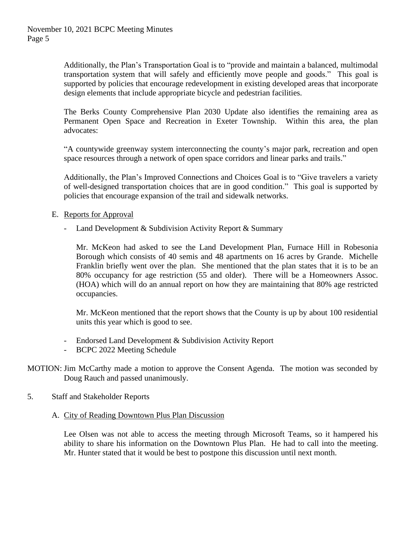Additionally, the Plan's Transportation Goal is to "provide and maintain a balanced, multimodal transportation system that will safely and efficiently move people and goods." This goal is supported by policies that encourage redevelopment in existing developed areas that incorporate design elements that include appropriate bicycle and pedestrian facilities.

The Berks County Comprehensive Plan 2030 Update also identifies the remaining area as Permanent Open Space and Recreation in Exeter Township. Within this area, the plan advocates:

"A countywide greenway system interconnecting the county's major park, recreation and open space resources through a network of open space corridors and linear parks and trails."

Additionally, the Plan's Improved Connections and Choices Goal is to "Give travelers a variety of well-designed transportation choices that are in good condition." This goal is supported by policies that encourage expansion of the trail and sidewalk networks.

- E. Reports for Approval
	- Land Development & Subdivision Activity Report & Summary

Mr. McKeon had asked to see the Land Development Plan, Furnace Hill in Robesonia Borough which consists of 40 semis and 48 apartments on 16 acres by Grande. Michelle Franklin briefly went over the plan. She mentioned that the plan states that it is to be an 80% occupancy for age restriction (55 and older). There will be a Homeowners Assoc. (HOA) which will do an annual report on how they are maintaining that 80% age restricted occupancies.

Mr. McKeon mentioned that the report shows that the County is up by about 100 residential units this year which is good to see.

- Endorsed Land Development & Subdivision Activity Report
- BCPC 2022 Meeting Schedule

## MOTION: Jim McCarthy made a motion to approve the Consent Agenda. The motion was seconded by Doug Rauch and passed unanimously.

- 5. Staff and Stakeholder Reports
	- A. City of Reading Downtown Plus Plan Discussion

Lee Olsen was not able to access the meeting through Microsoft Teams, so it hampered his ability to share his information on the Downtown Plus Plan. He had to call into the meeting. Mr. Hunter stated that it would be best to postpone this discussion until next month.